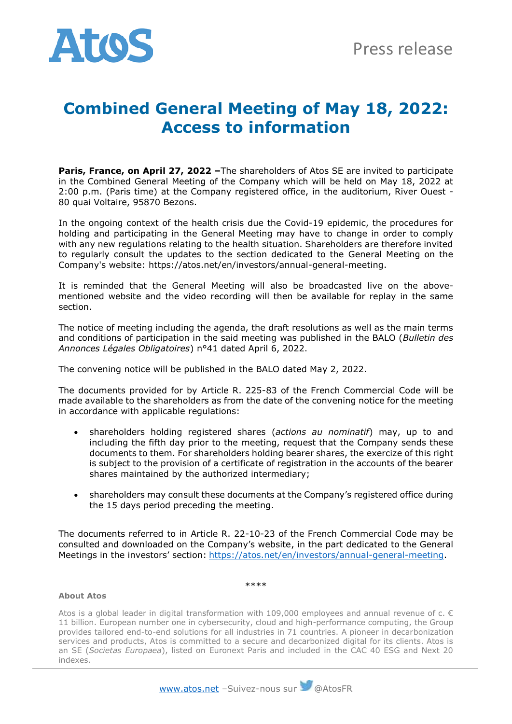

## **Combined General Meeting of May 18, 2022: Access to information**

**Paris, France, on April 27, 2022 –**The shareholders of Atos SE are invited to participate in the Combined General Meeting of the Company which will be held on May 18, 2022 at 2:00 p.m. (Paris time) at the Company registered office, in the auditorium, River Ouest - 80 quai Voltaire, 95870 Bezons.

In the ongoing context of the health crisis due the Covid-19 epidemic, the procedures for holding and participating in the General Meeting may have to change in order to comply with any new regulations relating to the health situation. Shareholders are therefore invited to regularly consult the updates to the section dedicated to the General Meeting on the Company's website: https://atos.net/en/investors/annual-general-meeting.

It is reminded that the General Meeting will also be broadcasted live on the abovementioned website and the video recording will then be available for replay in the same section.

The notice of meeting including the agenda, the draft resolutions as well as the main terms and conditions of participation in the said meeting was published in the BALO (*Bulletin des Annonces Légales Obligatoires*) n°41 dated April 6, 2022.

The convening notice will be published in the BALO dated May 2, 2022.

The documents provided for by Article R. 225-83 of the French Commercial Code will be made available to the shareholders as from the date of the convening notice for the meeting in accordance with applicable regulations:

- shareholders holding registered shares (*actions au nominatif*) may, up to and including the fifth day prior to the meeting, request that the Company sends these documents to them. For shareholders holding bearer shares, the exercize of this right is subject to the provision of a certificate of registration in the accounts of the bearer shares maintained by the authorized intermediary;
- shareholders may consult these documents at the Company's registered office during the 15 days period preceding the meeting.

The documents referred to in Article R. 22-10-23 of the French Commercial Code may be consulted and downloaded on the Company's website, in the part dedicated to the General Meetings in the investors' section: [https://atos.net/en/investors/annual-general-meeting.](https://atos.net/en/investors/annual-general-meeting)

## \*\*\*\*

## **About Atos**

Atos is a global leader in digital transformation with 109,000 employees and annual revenue of c.  $\epsilon$ 11 billion. European number one in cybersecurity, cloud and high-performance computing, the Group provides tailored end-to-end solutions for all industries in 71 countries. A pioneer in decarbonization services and products, Atos is committed to a secure and decarbonized digital for its clients. Atos is an SE (*Societas Europaea*), listed on Euronext Paris and included in the CAC 40 ESG and Next 20 indexes.